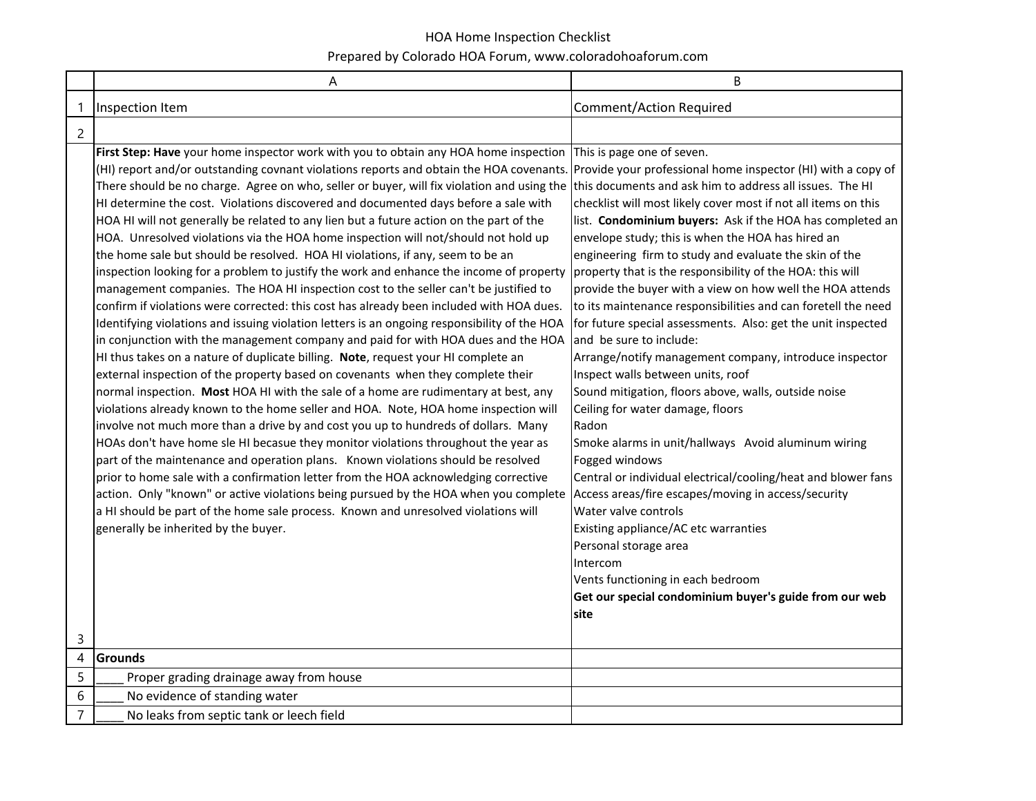|                | A                                                                                                                                                                                                                                                                                                                                                                                                                                                                                                                                                                                                                                                                                                                                                                                                                                                                                                                                                                                                                                                                                                                                                                                                                                                                                                                                                                                                                                                                                                                                                                                                                                                                                                                                                                                                                                                                                                                                                                                                                                              | B                                                                                                                                                                                                                                                                                                                                                                                                                                                                                                                                                                                                                                                                                                                                                                                                                                                                                                                                                                                                                                                                                                                                                                                                                                                                                                           |
|----------------|------------------------------------------------------------------------------------------------------------------------------------------------------------------------------------------------------------------------------------------------------------------------------------------------------------------------------------------------------------------------------------------------------------------------------------------------------------------------------------------------------------------------------------------------------------------------------------------------------------------------------------------------------------------------------------------------------------------------------------------------------------------------------------------------------------------------------------------------------------------------------------------------------------------------------------------------------------------------------------------------------------------------------------------------------------------------------------------------------------------------------------------------------------------------------------------------------------------------------------------------------------------------------------------------------------------------------------------------------------------------------------------------------------------------------------------------------------------------------------------------------------------------------------------------------------------------------------------------------------------------------------------------------------------------------------------------------------------------------------------------------------------------------------------------------------------------------------------------------------------------------------------------------------------------------------------------------------------------------------------------------------------------------------------------|-------------------------------------------------------------------------------------------------------------------------------------------------------------------------------------------------------------------------------------------------------------------------------------------------------------------------------------------------------------------------------------------------------------------------------------------------------------------------------------------------------------------------------------------------------------------------------------------------------------------------------------------------------------------------------------------------------------------------------------------------------------------------------------------------------------------------------------------------------------------------------------------------------------------------------------------------------------------------------------------------------------------------------------------------------------------------------------------------------------------------------------------------------------------------------------------------------------------------------------------------------------------------------------------------------------|
| 1              | Inspection Item                                                                                                                                                                                                                                                                                                                                                                                                                                                                                                                                                                                                                                                                                                                                                                                                                                                                                                                                                                                                                                                                                                                                                                                                                                                                                                                                                                                                                                                                                                                                                                                                                                                                                                                                                                                                                                                                                                                                                                                                                                | <b>Comment/Action Required</b>                                                                                                                                                                                                                                                                                                                                                                                                                                                                                                                                                                                                                                                                                                                                                                                                                                                                                                                                                                                                                                                                                                                                                                                                                                                                              |
| $\overline{c}$ |                                                                                                                                                                                                                                                                                                                                                                                                                                                                                                                                                                                                                                                                                                                                                                                                                                                                                                                                                                                                                                                                                                                                                                                                                                                                                                                                                                                                                                                                                                                                                                                                                                                                                                                                                                                                                                                                                                                                                                                                                                                |                                                                                                                                                                                                                                                                                                                                                                                                                                                                                                                                                                                                                                                                                                                                                                                                                                                                                                                                                                                                                                                                                                                                                                                                                                                                                                             |
|                | First Step: Have your home inspector work with you to obtain any HOA home inspection<br>(HI) report and/or outstanding covnant violations reports and obtain the HOA covenants.<br>There should be no charge. Agree on who, seller or buyer, will fix violation and using the<br>HI determine the cost. Violations discovered and documented days before a sale with<br>HOA HI will not generally be related to any lien but a future action on the part of the<br>HOA. Unresolved violations via the HOA home inspection will not/should not hold up<br>the home sale but should be resolved. HOA HI violations, if any, seem to be an<br>inspection looking for a problem to justify the work and enhance the income of property<br>management companies. The HOA HI inspection cost to the seller can't be justified to<br>confirm if violations were corrected: this cost has already been included with HOA dues.<br>Identifying violations and issuing violation letters is an ongoing responsibility of the HOA<br>in conjunction with the management company and paid for with HOA dues and the HOA<br>HI thus takes on a nature of duplicate billing. Note, request your HI complete an<br>external inspection of the property based on covenants when they complete their<br>normal inspection. Most HOA HI with the sale of a home are rudimentary at best, any<br>violations already known to the home seller and HOA. Note, HOA home inspection will<br>involve not much more than a drive by and cost you up to hundreds of dollars. Many<br>HOAs don't have home sle HI becasue they monitor violations throughout the year as<br>part of the maintenance and operation plans. Known violations should be resolved<br>prior to home sale with a confirmation letter from the HOA acknowledging corrective<br>action. Only "known" or active violations being pursued by the HOA when you complete<br>a HI should be part of the home sale process. Known and unresolved violations will<br>generally be inherited by the buyer. | This is page one of seven.<br>Provide your professional home inspector (HI) with a copy of<br>this documents and ask him to address all issues. The HI<br>checklist will most likely cover most if not all items on this<br>list. Condominium buyers: Ask if the HOA has completed an<br>envelope study; this is when the HOA has hired an<br>engineering firm to study and evaluate the skin of the<br>property that is the responsibility of the HOA: this will<br>provide the buyer with a view on how well the HOA attends<br>to its maintenance responsibilities and can foretell the need<br>for future special assessments. Also: get the unit inspected<br>and be sure to include:<br>Arrange/notify management company, introduce inspector<br>Inspect walls between units, roof<br>Sound mitigation, floors above, walls, outside noise<br>Ceiling for water damage, floors<br>Radon<br>Smoke alarms in unit/hallways Avoid aluminum wiring<br>Fogged windows<br>Central or individual electrical/cooling/heat and blower fans<br>Access areas/fire escapes/moving in access/security<br>Water valve controls<br>Existing appliance/AC etc warranties<br>Personal storage area<br>Intercom<br>Vents functioning in each bedroom<br>Get our special condominium buyer's guide from our web<br>site |
| 3              |                                                                                                                                                                                                                                                                                                                                                                                                                                                                                                                                                                                                                                                                                                                                                                                                                                                                                                                                                                                                                                                                                                                                                                                                                                                                                                                                                                                                                                                                                                                                                                                                                                                                                                                                                                                                                                                                                                                                                                                                                                                |                                                                                                                                                                                                                                                                                                                                                                                                                                                                                                                                                                                                                                                                                                                                                                                                                                                                                                                                                                                                                                                                                                                                                                                                                                                                                                             |
| $\overline{4}$ | <b>Grounds</b>                                                                                                                                                                                                                                                                                                                                                                                                                                                                                                                                                                                                                                                                                                                                                                                                                                                                                                                                                                                                                                                                                                                                                                                                                                                                                                                                                                                                                                                                                                                                                                                                                                                                                                                                                                                                                                                                                                                                                                                                                                 |                                                                                                                                                                                                                                                                                                                                                                                                                                                                                                                                                                                                                                                                                                                                                                                                                                                                                                                                                                                                                                                                                                                                                                                                                                                                                                             |
| 5              | Proper grading drainage away from house                                                                                                                                                                                                                                                                                                                                                                                                                                                                                                                                                                                                                                                                                                                                                                                                                                                                                                                                                                                                                                                                                                                                                                                                                                                                                                                                                                                                                                                                                                                                                                                                                                                                                                                                                                                                                                                                                                                                                                                                        |                                                                                                                                                                                                                                                                                                                                                                                                                                                                                                                                                                                                                                                                                                                                                                                                                                                                                                                                                                                                                                                                                                                                                                                                                                                                                                             |
| 6              | No evidence of standing water                                                                                                                                                                                                                                                                                                                                                                                                                                                                                                                                                                                                                                                                                                                                                                                                                                                                                                                                                                                                                                                                                                                                                                                                                                                                                                                                                                                                                                                                                                                                                                                                                                                                                                                                                                                                                                                                                                                                                                                                                  |                                                                                                                                                                                                                                                                                                                                                                                                                                                                                                                                                                                                                                                                                                                                                                                                                                                                                                                                                                                                                                                                                                                                                                                                                                                                                                             |
| $\overline{7}$ | No leaks from septic tank or leech field                                                                                                                                                                                                                                                                                                                                                                                                                                                                                                                                                                                                                                                                                                                                                                                                                                                                                                                                                                                                                                                                                                                                                                                                                                                                                                                                                                                                                                                                                                                                                                                                                                                                                                                                                                                                                                                                                                                                                                                                       |                                                                                                                                                                                                                                                                                                                                                                                                                                                                                                                                                                                                                                                                                                                                                                                                                                                                                                                                                                                                                                                                                                                                                                                                                                                                                                             |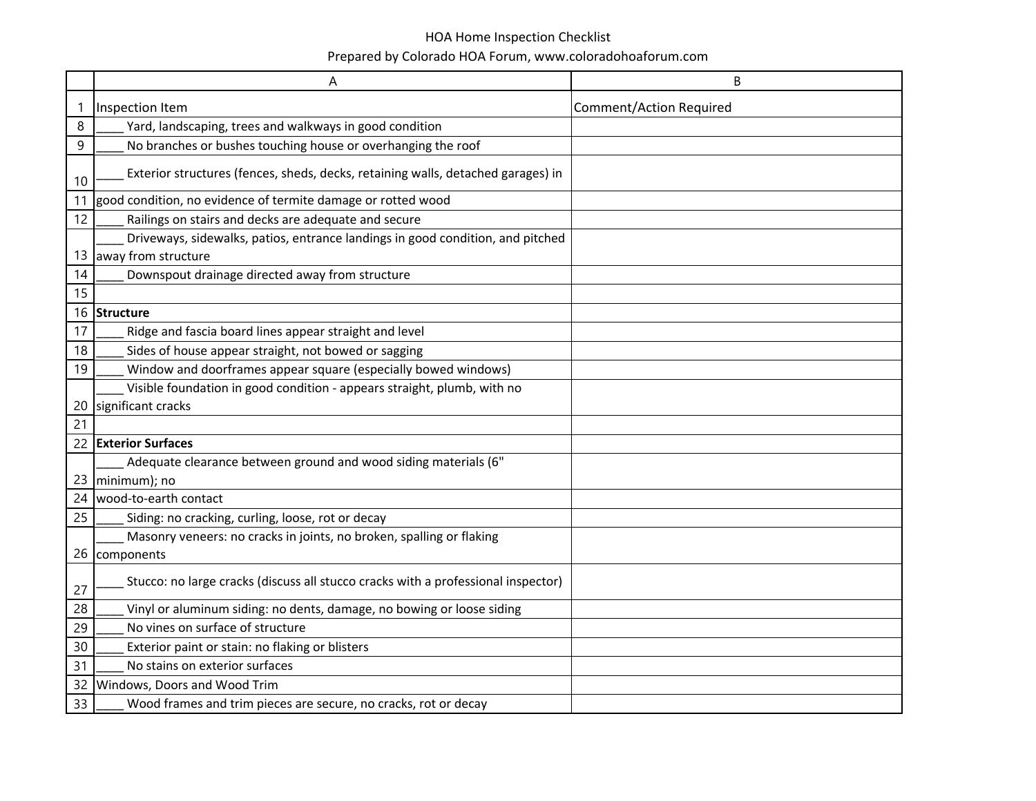|    | Α                                                                                                     | B                              |
|----|-------------------------------------------------------------------------------------------------------|--------------------------------|
| 1  | Inspection Item                                                                                       | <b>Comment/Action Required</b> |
| 8  | Yard, landscaping, trees and walkways in good condition                                               |                                |
| 9  | No branches or bushes touching house or overhanging the roof                                          |                                |
| 10 | Exterior structures (fences, sheds, decks, retaining walls, detached garages) in                      |                                |
| 11 | good condition, no evidence of termite damage or rotted wood                                          |                                |
| 12 | Railings on stairs and decks are adequate and secure                                                  |                                |
| 13 | Driveways, sidewalks, patios, entrance landings in good condition, and pitched<br>away from structure |                                |
| 14 | Downspout drainage directed away from structure                                                       |                                |
| 15 |                                                                                                       |                                |
| 16 | Structure                                                                                             |                                |
| 17 | Ridge and fascia board lines appear straight and level                                                |                                |
| 18 | Sides of house appear straight, not bowed or sagging                                                  |                                |
| 19 | Window and doorframes appear square (especially bowed windows)                                        |                                |
|    | Visible foundation in good condition - appears straight, plumb, with no                               |                                |
| 20 | significant cracks                                                                                    |                                |
| 21 |                                                                                                       |                                |
| 22 | <b>Exterior Surfaces</b>                                                                              |                                |
| 23 | Adequate clearance between ground and wood siding materials (6"<br>minimum); no                       |                                |
| 24 | wood-to-earth contact                                                                                 |                                |
| 25 | Siding: no cracking, curling, loose, rot or decay                                                     |                                |
|    | Masonry veneers: no cracks in joints, no broken, spalling or flaking<br>26 components                 |                                |
| 27 | Stucco: no large cracks (discuss all stucco cracks with a professional inspector)                     |                                |
| 28 | Vinyl or aluminum siding: no dents, damage, no bowing or loose siding                                 |                                |
| 29 | No vines on surface of structure                                                                      |                                |
| 30 | Exterior paint or stain: no flaking or blisters                                                       |                                |
| 31 | No stains on exterior surfaces                                                                        |                                |
| 32 | Windows, Doors and Wood Trim                                                                          |                                |
| 33 | Wood frames and trim pieces are secure, no cracks, rot or decay                                       |                                |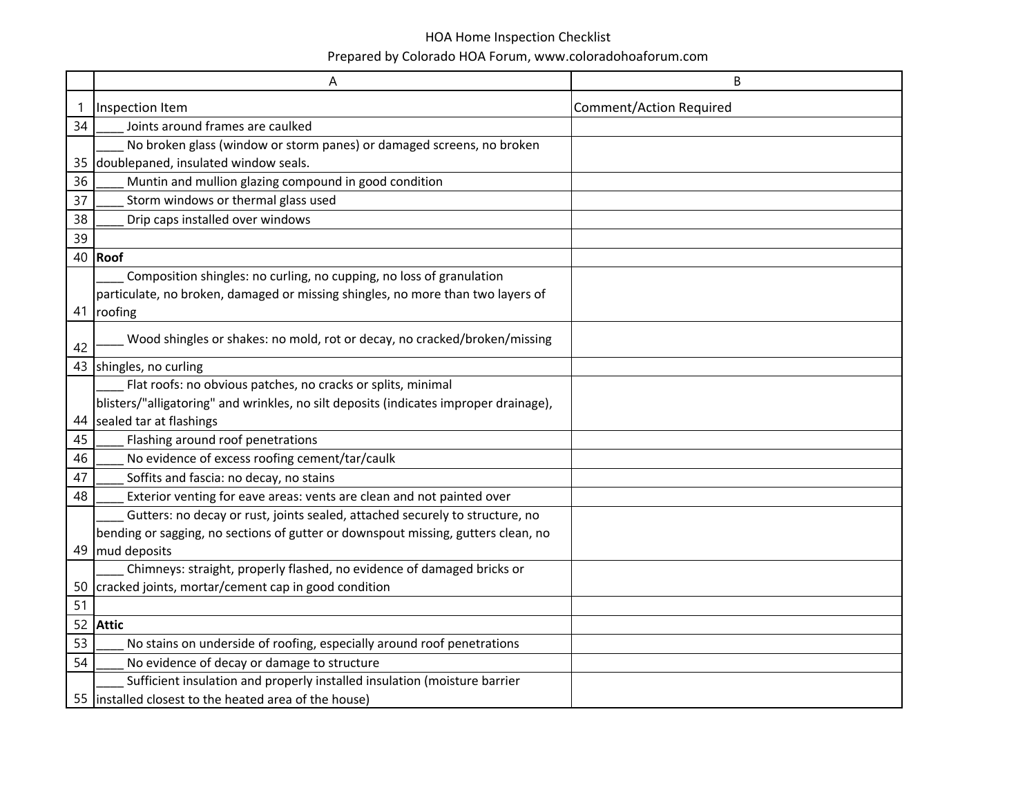|    | Α                                                                                     | Β                              |
|----|---------------------------------------------------------------------------------------|--------------------------------|
| 1  | Inspection Item                                                                       | <b>Comment/Action Required</b> |
| 34 | Joints around frames are caulked                                                      |                                |
|    | No broken glass (window or storm panes) or damaged screens, no broken                 |                                |
| 35 | doublepaned, insulated window seals.                                                  |                                |
| 36 | Muntin and mullion glazing compound in good condition                                 |                                |
| 37 | Storm windows or thermal glass used                                                   |                                |
| 38 | Drip caps installed over windows                                                      |                                |
| 39 |                                                                                       |                                |
| 40 | Roof                                                                                  |                                |
|    | Composition shingles: no curling, no cupping, no loss of granulation                  |                                |
|    | particulate, no broken, damaged or missing shingles, no more than two layers of       |                                |
| 41 | roofing                                                                               |                                |
| 42 | Wood shingles or shakes: no mold, rot or decay, no cracked/broken/missing             |                                |
|    | 43 shingles, no curling                                                               |                                |
|    | Flat roofs: no obvious patches, no cracks or splits, minimal                          |                                |
|    | blisters/"alligatoring" and wrinkles, no silt deposits (indicates improper drainage), |                                |
| 44 | sealed tar at flashings                                                               |                                |
| 45 | Flashing around roof penetrations                                                     |                                |
| 46 | No evidence of excess roofing cement/tar/caulk                                        |                                |
| 47 | Soffits and fascia: no decay, no stains                                               |                                |
| 48 | Exterior venting for eave areas: vents are clean and not painted over                 |                                |
|    | Gutters: no decay or rust, joints sealed, attached securely to structure, no          |                                |
|    | bending or sagging, no sections of gutter or downspout missing, gutters clean, no     |                                |
| 49 | mud deposits                                                                          |                                |
|    | Chimneys: straight, properly flashed, no evidence of damaged bricks or                |                                |
| 50 | cracked joints, mortar/cement cap in good condition                                   |                                |
| 51 |                                                                                       |                                |
| 52 | <b>Attic</b>                                                                          |                                |
| 53 | No stains on underside of roofing, especially around roof penetrations                |                                |
| 54 | No evidence of decay or damage to structure                                           |                                |
|    | Sufficient insulation and properly installed insulation (moisture barrier             |                                |
|    | 55 Installed closest to the heated area of the house)                                 |                                |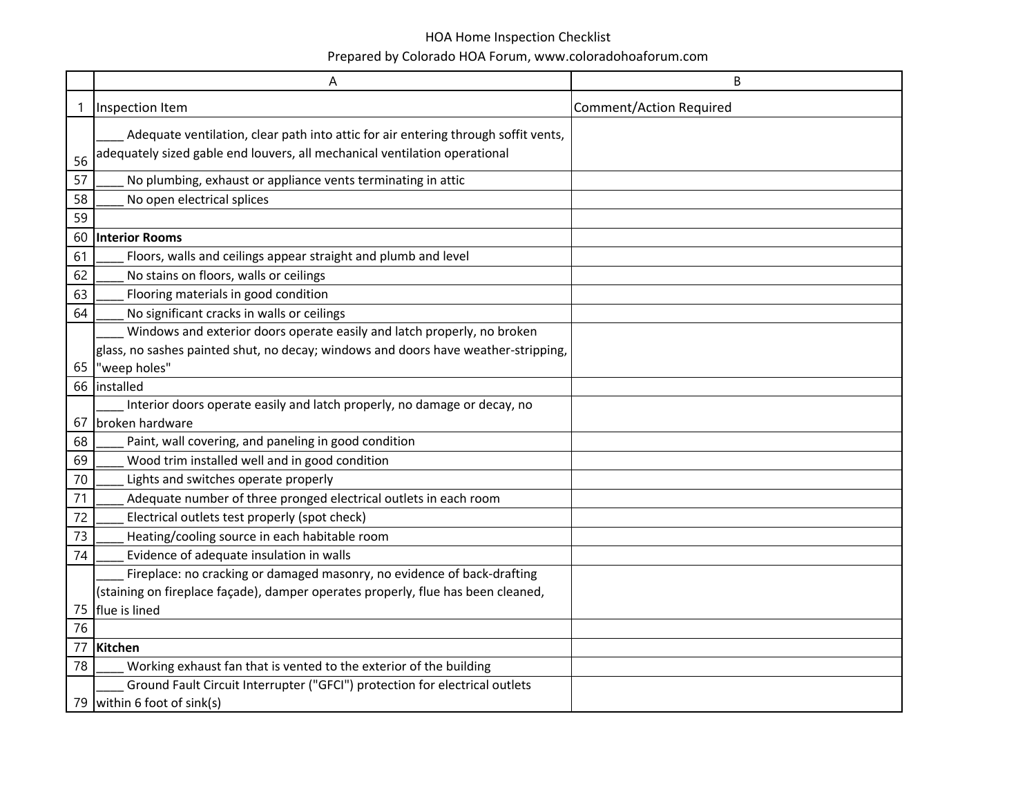|    | Α                                                                                  | В                              |
|----|------------------------------------------------------------------------------------|--------------------------------|
|    | Inspection Item                                                                    | <b>Comment/Action Required</b> |
|    | Adequate ventilation, clear path into attic for air entering through soffit vents, |                                |
| 56 | adequately sized gable end louvers, all mechanical ventilation operational         |                                |
| 57 | No plumbing, exhaust or appliance vents terminating in attic                       |                                |
| 58 | No open electrical splices                                                         |                                |
| 59 |                                                                                    |                                |
| 60 | <b>Interior Rooms</b>                                                              |                                |
| 61 | Floors, walls and ceilings appear straight and plumb and level                     |                                |
| 62 | No stains on floors, walls or ceilings                                             |                                |
| 63 | Flooring materials in good condition                                               |                                |
| 64 | No significant cracks in walls or ceilings                                         |                                |
|    | Windows and exterior doors operate easily and latch properly, no broken            |                                |
|    | glass, no sashes painted shut, no decay; windows and doors have weather-stripping, |                                |
| 65 | "weep holes"                                                                       |                                |
|    | 66 Installed                                                                       |                                |
|    | Interior doors operate easily and latch properly, no damage or decay, no           |                                |
| 67 | broken hardware                                                                    |                                |
| 68 | Paint, wall covering, and paneling in good condition                               |                                |
| 69 | Wood trim installed well and in good condition                                     |                                |
| 70 | Lights and switches operate properly                                               |                                |
| 71 | Adequate number of three pronged electrical outlets in each room                   |                                |
| 72 | Electrical outlets test properly (spot check)                                      |                                |
| 73 | Heating/cooling source in each habitable room                                      |                                |
| 74 | Evidence of adequate insulation in walls                                           |                                |
|    | Fireplace: no cracking or damaged masonry, no evidence of back-drafting            |                                |
|    | (staining on fireplace façade), damper operates properly, flue has been cleaned,   |                                |
| 75 | flue is lined                                                                      |                                |
| 76 |                                                                                    |                                |
| 77 | Kitchen                                                                            |                                |
| 78 | Working exhaust fan that is vented to the exterior of the building                 |                                |
|    | Ground Fault Circuit Interrupter ("GFCI") protection for electrical outlets        |                                |
|    | 79 within 6 foot of sink(s)                                                        |                                |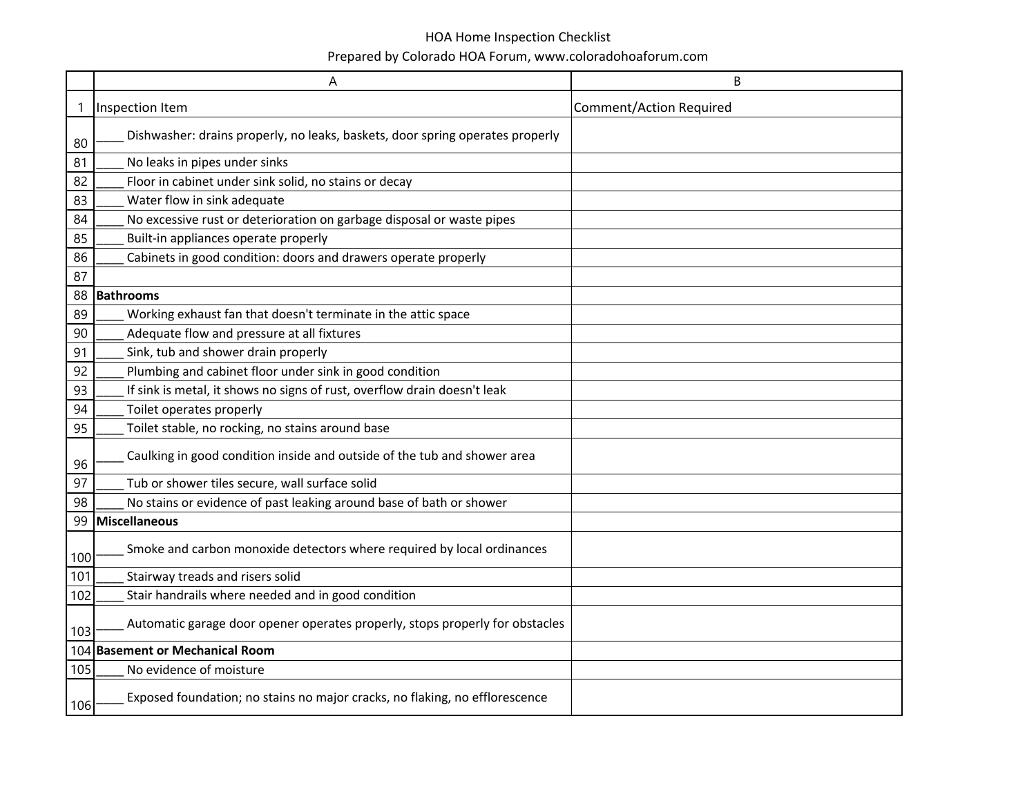|     | Α                                                                             | B                              |
|-----|-------------------------------------------------------------------------------|--------------------------------|
| 1   | Inspection Item                                                               | <b>Comment/Action Required</b> |
| 80  | Dishwasher: drains properly, no leaks, baskets, door spring operates properly |                                |
| 81  | No leaks in pipes under sinks                                                 |                                |
| 82  | Floor in cabinet under sink solid, no stains or decay                         |                                |
| 83  | Water flow in sink adequate                                                   |                                |
| 84  | No excessive rust or deterioration on garbage disposal or waste pipes         |                                |
| 85  | Built-in appliances operate properly                                          |                                |
| 86  | Cabinets in good condition: doors and drawers operate properly                |                                |
| 87  |                                                                               |                                |
| 88  | <b>Bathrooms</b>                                                              |                                |
| 89  | Working exhaust fan that doesn't terminate in the attic space                 |                                |
| 90  | Adequate flow and pressure at all fixtures                                    |                                |
| 91  | Sink, tub and shower drain properly                                           |                                |
| 92  | Plumbing and cabinet floor under sink in good condition                       |                                |
| 93  | If sink is metal, it shows no signs of rust, overflow drain doesn't leak      |                                |
| 94  | Toilet operates properly                                                      |                                |
| 95  | Toilet stable, no rocking, no stains around base                              |                                |
| 96  | Caulking in good condition inside and outside of the tub and shower area      |                                |
| 97  | Tub or shower tiles secure, wall surface solid                                |                                |
| 98  | No stains or evidence of past leaking around base of bath or shower           |                                |
| 99  | <b>Miscellaneous</b>                                                          |                                |
| 100 | Smoke and carbon monoxide detectors where required by local ordinances        |                                |
| 101 | Stairway treads and risers solid                                              |                                |
| 102 | Stair handrails where needed and in good condition                            |                                |
| 103 | Automatic garage door opener operates properly, stops properly for obstacles  |                                |
| 104 | <b>Basement or Mechanical Room</b>                                            |                                |
| 105 | No evidence of moisture                                                       |                                |
| 106 | Exposed foundation; no stains no major cracks, no flaking, no efflorescence   |                                |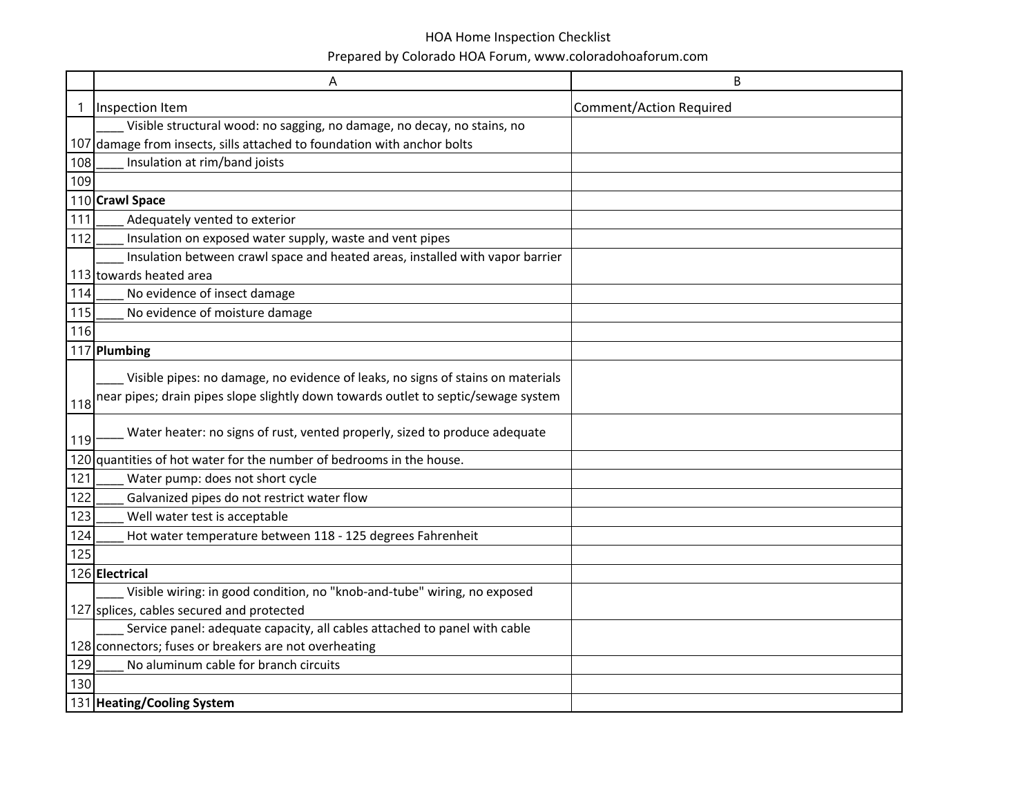|     | A                                                                                  | B                              |
|-----|------------------------------------------------------------------------------------|--------------------------------|
| 1   | Inspection Item                                                                    | <b>Comment/Action Required</b> |
|     | Visible structural wood: no sagging, no damage, no decay, no stains, no            |                                |
| 107 | damage from insects, sills attached to foundation with anchor bolts                |                                |
| 108 | Insulation at rim/band joists                                                      |                                |
| 109 |                                                                                    |                                |
|     | 110 Crawl Space                                                                    |                                |
| 111 | Adequately vented to exterior                                                      |                                |
| 112 | Insulation on exposed water supply, waste and vent pipes                           |                                |
|     | Insulation between crawl space and heated areas, installed with vapor barrier      |                                |
|     | 113 towards heated area                                                            |                                |
| 114 | No evidence of insect damage                                                       |                                |
| 115 | No evidence of moisture damage                                                     |                                |
| 116 |                                                                                    |                                |
|     | 117 Plumbing                                                                       |                                |
|     | Visible pipes: no damage, no evidence of leaks, no signs of stains on materials    |                                |
|     | near pipes; drain pipes slope slightly down towards outlet to septic/sewage system |                                |
| 118 |                                                                                    |                                |
| 119 | Water heater: no signs of rust, vented properly, sized to produce adequate         |                                |
| 120 | quantities of hot water for the number of bedrooms in the house.                   |                                |
| 121 | Water pump: does not short cycle                                                   |                                |
| 122 | Galvanized pipes do not restrict water flow                                        |                                |
| 123 | Well water test is acceptable                                                      |                                |
| 124 | Hot water temperature between 118 - 125 degrees Fahrenheit                         |                                |
| 125 |                                                                                    |                                |
|     | 126 Electrical                                                                     |                                |
|     | Visible wiring: in good condition, no "knob-and-tube" wiring, no exposed           |                                |
|     | 127 splices, cables secured and protected                                          |                                |
|     | Service panel: adequate capacity, all cables attached to panel with cable          |                                |
|     | 128 connectors; fuses or breakers are not overheating                              |                                |
| 129 | No aluminum cable for branch circuits                                              |                                |
| 130 |                                                                                    |                                |
|     | 131 Heating/Cooling System                                                         |                                |